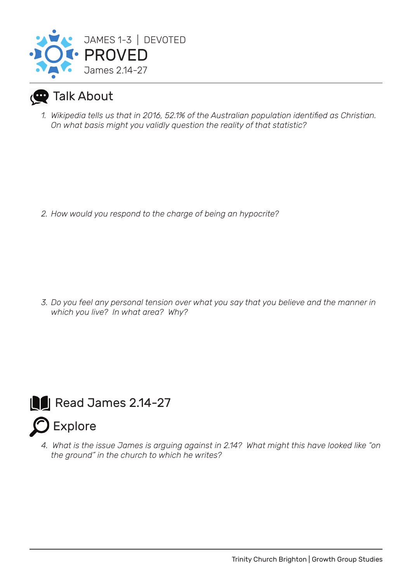

### Talk About

*1. Wikipedia tells us that in 2016, 52.1% of the Australian population identified as Christian. On what basis might you validly question the reality of that statistic?*

*2. How would you respond to the charge of being an hypocrite?*

*3. Do you feel any personal tension over what you say that you believe and the manner in which you live? In what area? Why?*



*4. What is the issue James is arguing against in 2.14? What might this have looked like "on the ground" in the church to which he writes?*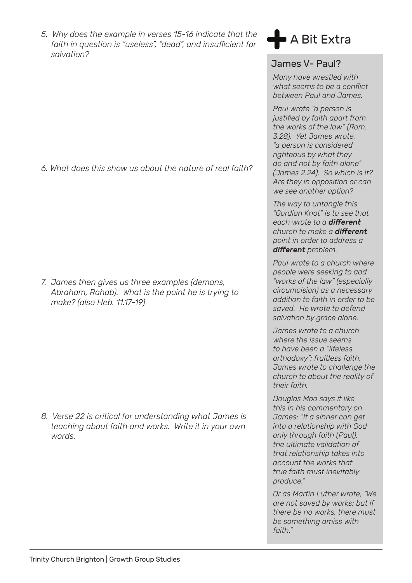Trinity Church Brighton | Growth Group Studies

*5. Why does the example in verses 15-16 indicate that the faith in question is "useless", "dead", and insufficient for salvation?*

*6. What does this show us about the nature of real faith?*

*7. James then gives us three examples (demons, Abraham, Rahab). What is the point he is trying to make? (also Heb. 11.17-19)*

*8. Verse 22 is critical for understanding what James is teaching about faith and works. Write it in your own words.*

## A Bit Extra

#### James V- Paul?

*Many have wrestled with what seems to be a conflict between Paul and James.* 

*Paul wrote "a person is justified by faith apart from the works of the law" (Rom. 3.28). Yet James wrote, "a person is considered righteous by what they do and not by faith alone" (James 2.24). So which is it? Are they in opposition or can we see another option?*

*The way to untangle this "Gordian Knot" is to see that each wrote to a different church to make a different point in order to address a different problem.*

*Paul wrote to a church where people were seeking to add "works of the law" (especially circumcision) as a necessary addition to faith in order to be saved. He wrote to defend salvation by grace alone.*

*James wrote to a church where the issue seems to have been a "lifeless orthodoxy": fruitless faith. James wrote to challenge the church to about the reality of their faith.*

*Douglas Moo says it like this in his commentary on James: "If a sinner can get into a relationship with God only through faith (Paul), the ultimate validation of that relationship takes into account the works that true faith must inevitably produce."* 

*Or as Martin Luther wrote, "We are not saved by works; but if there be no works, there must be something amiss with faith."*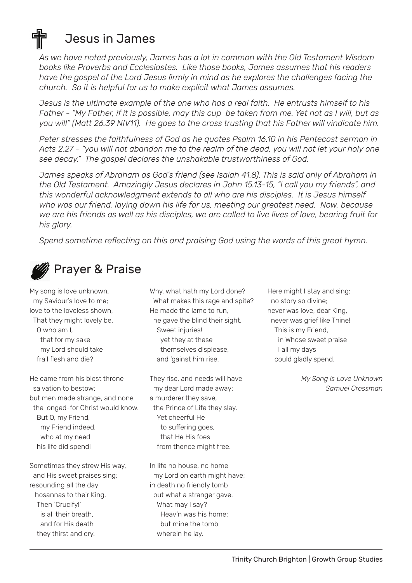# Jesus in James

*As we have noted previously, James has a lot in common with the Old Testament Wisdom books like Proverbs and Ecclesiastes. Like those books, James assumes that his readers have the gospel of the Lord Jesus firmly in mind as he explores the challenges facing the church. So it is helpful for us to make explicit what James assumes.*

*Jesus is the ultimate example of the one who has a real faith. He entrusts himself to his Father - "My Father, if it is possible, may this cup be taken from me. Yet not as I will, but as you will" (Matt 26.39 NIV11). He goes to the cross trusting that his Father will vindicate him.*

*Peter stresses the faithfulness of God as he quotes Psalm 16.10 in his Pentecost sermon in Acts 2.27 - "you will not abandon me to the realm of the dead, you will not let your holy one see decay." The gospel declares the unshakable trustworthiness of God.*

James speaks of Abraham as God's friend (see Isaiah 41.8). This is said only of Abraham in *the Old Testament. Amazingly Jesus declares in John 15.13-15, "I call you my friends", and this wonderful acknowledgment extends to all who are his disciples. It is Jesus himself who was our friend, laying down his life for us, meeting our greatest need. Now, because we are his friends as well as his disciples, we are called to live lives of love, bearing fruit for his glory.*

*Spend sometime reflecting on this and praising God using the words of this great hymn.*

### Prayer & Praise

My song is love unknown, my Saviour's love to me; love to the loveless shown, That they might lovely be. O who am I, that for my sake my Lord should take frail flesh and die?

He came from his blest throne salvation to bestow; but men made strange, and none the longed-for Christ would know. But O, my Friend, my Friend indeed, who at my need his life did spend!

Sometimes they strew His way, and His sweet praises sing; resounding all the day hosannas to their King. Then 'Crucify!' is all their breath, and for His death they thirst and cry.

Why, what hath my Lord done? What makes this rage and spite? He made the lame to run, he gave the blind their sight. Sweet injuries! yet they at these themselves displease, and 'gainst him rise.

They rise, and needs will have my dear Lord made away; a murderer they save, the Prince of Life they slay. Yet cheerful He to suffering goes, that He His foes from thence might free.

In life no house, no home my Lord on earth might have; in death no friendly tomb but what a stranger gave. What may I say? Heav'n was his home; but mine the tomb wherein he lay.

Here might I stay and sing: no story so divine; never was love, dear King, never was grief like Thine! This is my Friend, in Whose sweet praise I all my days could gladly spend.

> *My Song is Love Unknown Samuel Crossman*